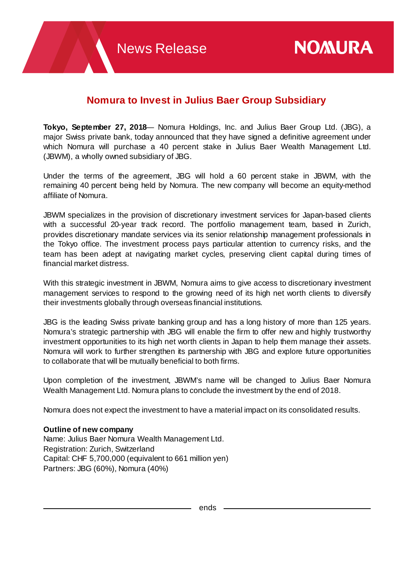## **Nomura to Invest in Julius Baer Group Subsidiary**

**Tokyo, September 27, 2018**— Nomura Holdings, Inc. and Julius Baer Group Ltd. (JBG), a major Swiss private bank, today announced that they have signed a definitive agreement under which Nomura will purchase a 40 percent stake in Julius Baer Wealth Management Ltd. (JBWM), a wholly owned subsidiary of JBG.

Under the terms of the agreement, JBG will hold a 60 percent stake in JBWM, with the remaining 40 percent being held by Nomura. The new company will become an equity-method affiliate of Nomura.

JBWM specializes in the provision of discretionary investment services for Japan-based clients with a successful 20-year track record. The portfolio management team, based in Zurich, provides discretionary mandate services via its senior relationship management professionals in the Tokyo office. The investment process pays particular attention to currency risks, and the team has been adept at navigating market cycles, preserving client capital during times of financial market distress.

With this strategic investment in JBWM, Nomura aims to give access to discretionary investment management services to respond to the growing need of its high net worth clients to diversify their investments globally through overseas financial institutions.

JBG is the leading Swiss private banking group and has a long history of more than 125 years. Nomura's strategic partnership with JBG will enable the firm to offer new and highly trustworthy investment opportunities to its high net worth clients in Japan to help them manage their assets. Nomura will work to further strengthen its partnership with JBG and explore future opportunities to collaborate that will be mutually beneficial to both firms.

Upon completion of the investment, JBWM's name will be changed to Julius Baer Nomura Wealth Management Ltd. Nomura plans to conclude the investment by the end of 2018.

Nomura does not expect the investment to have a material impact on its consolidated results.

## **Outline of new company**

Name: Julius Baer Nomura Wealth Management Ltd. Registration: Zurich, Switzerland Capital: CHF 5,700,000 (equivalent to 661 million yen) Partners: JBG (60%), Nomura (40%)